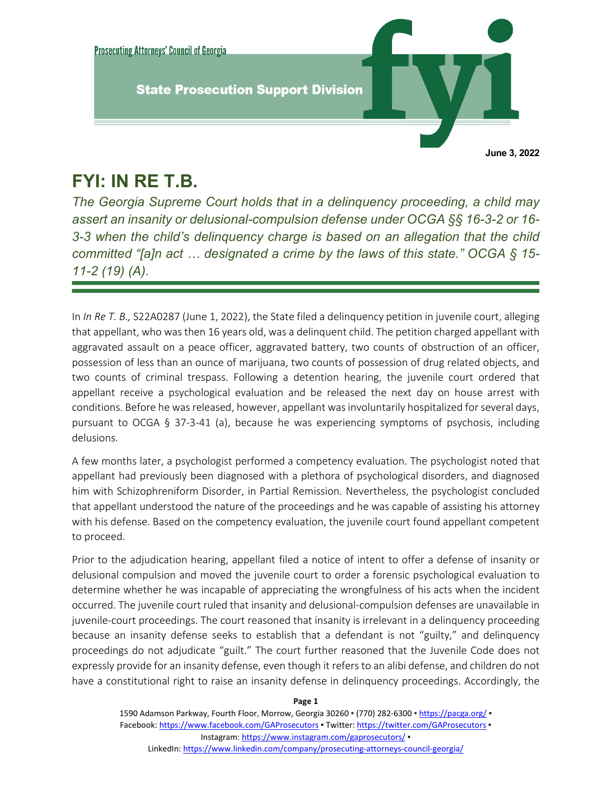

## **FYI: IN RE T.B.**

j

*The Georgia Supreme Court holds that in a delinquency proceeding, a child may assert an insanity or delusional-compulsion defense under OCGA §§ 16-3-2 or 16- 3-3 when the child's delinquency charge is based on an allegation that the child committed "[a]n act … designated a crime by the laws of this state." OCGA § 15- 11-2 (19) (A).*

In *In Re T. B.,* S22A0287 (June 1, 2022), the State filed a delinquency petition in juvenile court, alleging that appellant, who was then 16 years old, was a delinquent child. The petition charged appellant with aggravated assault on a peace officer, aggravated battery, two counts of obstruction of an officer, possession of less than an ounce of marijuana, two counts of possession of drug related objects, and two counts of criminal trespass. Following a detention hearing, the juvenile court ordered that appellant receive a psychological evaluation and be released the next day on house arrest with conditions. Before he was released, however, appellant was involuntarily hospitalized for several days, pursuant to OCGA § 37-3-41 (a), because he was experiencing symptoms of psychosis, including delusions.

A few months later, a psychologist performed a competency evaluation. The psychologist noted that appellant had previously been diagnosed with a plethora of psychological disorders, and diagnosed him with Schizophreniform Disorder, in Partial Remission. Nevertheless, the psychologist concluded that appellant understood the nature of the proceedings and he was capable of assisting his attorney with his defense. Based on the competency evaluation, the juvenile court found appellant competent to proceed.

Prior to the adjudication hearing, appellant filed a notice of intent to offer a defense of insanity or delusional compulsion and moved the juvenile court to order a forensic psychological evaluation to determine whether he was incapable of appreciating the wrongfulness of his acts when the incident occurred. The juvenile court ruled that insanity and delusional-compulsion defenses are unavailable in juvenile-court proceedings. The court reasoned that insanity is irrelevant in a delinquency proceeding because an insanity defense seeks to establish that a defendant is not "guilty," and delinquency proceedings do not adjudicate "guilt." The court further reasoned that the Juvenile Code does not expressly provide for an insanity defense, even though it refers to an alibi defense, and children do not have a constitutional right to raise an insanity defense in delinquency proceedings. Accordingly, the

**Page 1**

1590 Adamson Parkway, Fourth Floor, Morrow, Georgia 30260 · (770) 282-6300 · https://pacga.org/ · Facebook[: https://www.facebook.com/GAProsecutors](https://www.facebook.com/GAProsecutors) . Twitter[: https://twitter.com/GAProsecutors](https://twitter.com/GAProsecutors) . Instagram[: https://www.instagram.com/gaprosecutors/](https://www.instagram.com/gaprosecutors/) • LinkedIn[: https://www.linkedin.com/company/prosecuting-attorneys-council-georgia/](https://www.linkedin.com/company/prosecuting-attorneys-council-georgia/)